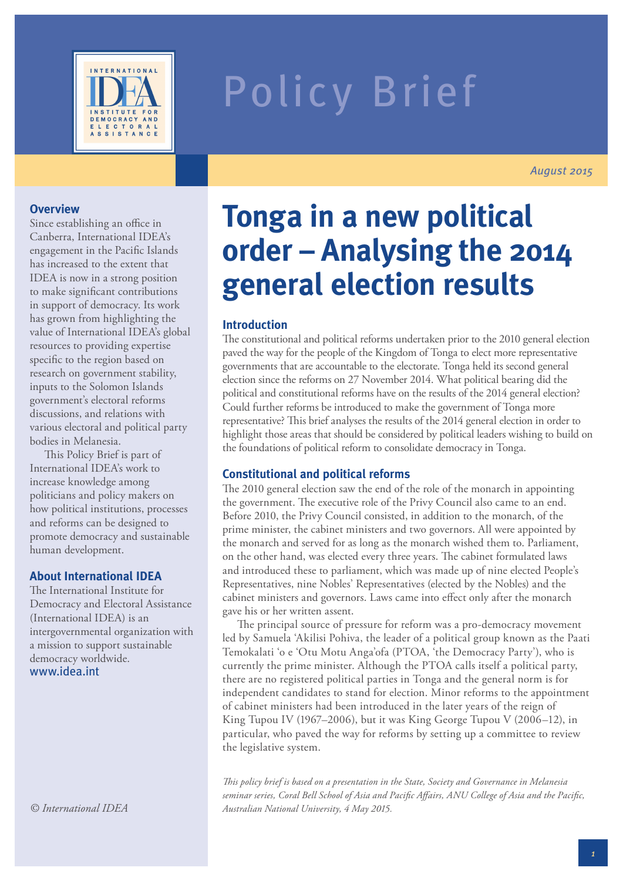

# Policy Brief

*August 2015*

#### **Overview**

Since establishing an office in Canberra, International IDEA's engagement in the Pacific Islands has increased to the extent that IDEA is now in a strong position to make significant contributions in support of democracy. Its work has grown from highlighting the value of International IDEA's global resources to providing expertise specific to the region based on research on government stability, inputs to the Solomon Islands government's electoral reforms discussions, and relations with various electoral and political party bodies in Melanesia.

This Policy Brief is part of International IDEA's work to increase knowledge among politicians and policy makers on how political institutions, processes and reforms can be designed to promote democracy and sustainable human development.

#### **About International IDEA**

The International Institute for Democracy and Electoral Assistance (International IDEA) is an intergovernmental organization with a mission to support sustainable democracy worldwide. www.idea.int

# **Tonga in a new political order – Analysing the 2014 general election results**

#### **Introduction**

The constitutional and political reforms undertaken prior to the 2010 general election paved the way for the people of the Kingdom of Tonga to elect more representative governments that are accountable to the electorate. Tonga held its second general election since the reforms on 27 November 2014. What political bearing did the political and constitutional reforms have on the results of the 2014 general election? Could further reforms be introduced to make the government of Tonga more representative? This brief analyses the results of the 2014 general election in order to highlight those areas that should be considered by political leaders wishing to build on the foundations of political reform to consolidate democracy in Tonga.

#### **Constitutional and political reforms**

The 2010 general election saw the end of the role of the monarch in appointing the government. The executive role of the Privy Council also came to an end. Before 2010, the Privy Council consisted, in addition to the monarch, of the prime minister, the cabinet ministers and two governors. All were appointed by the monarch and served for as long as the monarch wished them to. Parliament, on the other hand, was elected every three years. The cabinet formulated laws and introduced these to parliament, which was made up of nine elected People's Representatives, nine Nobles' Representatives (elected by the Nobles) and the cabinet ministers and governors. Laws came into effect only after the monarch gave his or her written assent.

The principal source of pressure for reform was a pro-democracy movement led by Samuela 'Akilisi Pohiva, the leader of a political group known as the Paati Temokalati 'o e 'Otu Motu Anga'ofa (PTOA, 'the Democracy Party'), who is currently the prime minister. Although the PTOA calls itself a political party, there are no registered political parties in Tonga and the general norm is for independent candidates to stand for election. Minor reforms to the appointment of cabinet ministers had been introduced in the later years of the reign of King Tupou IV (1967–2006), but it was King George Tupou V (2006–12), in particular, who paved the way for reforms by setting up a committee to review the legislative system.

*This policy brief is based on a presentation in the State, Society and Governance in Melanesia seminar series, Coral Bell School of Asia and Pacific Affairs, ANU College of Asia and the Pacific, Australian National University, 4 May 2015.*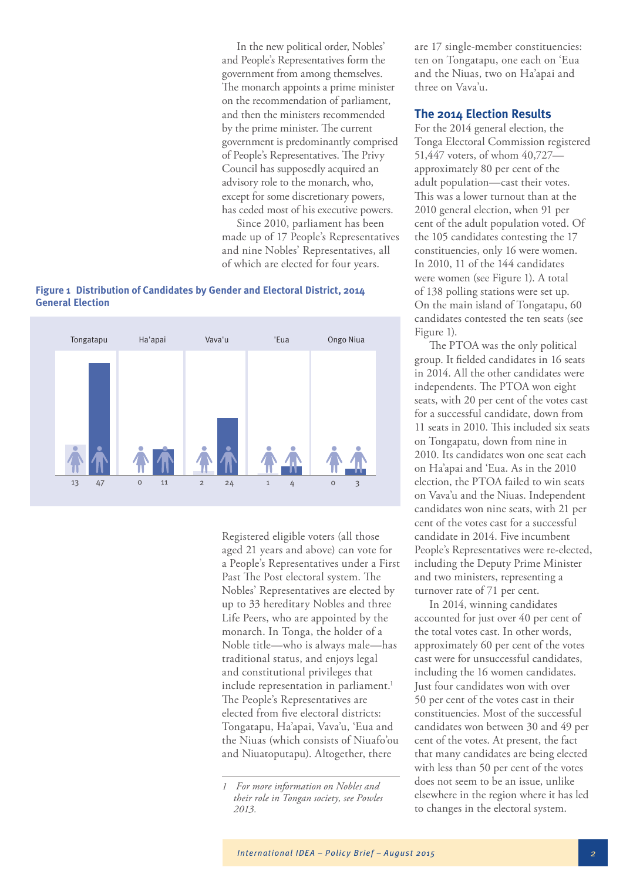In the new political order, Nobles' and People's Representatives form the government from among themselves. The monarch appoints a prime minister on the recommendation of parliament, and then the ministers recommended by the prime minister. The current government is predominantly comprised of People's Representatives. The Privy Council has supposedly acquired an advisory role to the monarch, who, except for some discretionary powers, has ceded most of his executive powers.

Since 2010, parliament has been made up of 17 People's Representatives and nine Nobles' Representatives, all of which are elected for four years.





Registered eligible voters (all those aged 21 years and above) can vote for a People's Representatives under a First Past The Post electoral system. The Nobles' Representatives are elected by up to 33 hereditary Nobles and three Life Peers, who are appointed by the monarch. In Tonga, the holder of a Noble title—who is always male—has traditional status, and enjoys legal and constitutional privileges that include representation in parliament.<sup>1</sup> The People's Representatives are elected from five electoral districts: Tongatapu, Ha'apai, Vava'u, 'Eua and the Niuas (which consists of Niuafo'ou and Niuatoputapu). Altogether, there

are 17 single-member constituencies: ten on Tongatapu, one each on 'Eua and the Niuas, two on Ha'apai and three on Vava'u.

#### **The 2014 Election Results**

For the 2014 general election, the Tonga Electoral Commission registered 51,447 voters, of whom 40,727 approximately 80 per cent of the adult population—cast their votes. This was a lower turnout than at the 2010 general election, when 91 per cent of the adult population voted. Of the 105 candidates contesting the 17 constituencies, only 16 were women. In 2010, 11 of the 144 candidates were women (see Figure 1). A total of 138 polling stations were set up. On the main island of Tongatapu, 60 candidates contested the ten seats (see Figure 1).

The PTOA was the only political group. It fielded candidates in 16 seats in 2014. All the other candidates were independents. The PTOA won eight seats, with 20 per cent of the votes cast for a successful candidate, down from 11 seats in 2010. This included six seats on Tongapatu, down from nine in 2010. Its candidates won one seat each on Ha'apai and 'Eua. As in the 2010 election, the PTOA failed to win seats on Vava'u and the Niuas. Independent candidates won nine seats, with 21 per cent of the votes cast for a successful candidate in 2014. Five incumbent People's Representatives were re-elected, including the Deputy Prime Minister and two ministers, representing a turnover rate of 71 per cent.

In 2014, winning candidates accounted for just over 40 per cent of the total votes cast. In other words, approximately 60 per cent of the votes cast were for unsuccessful candidates, including the 16 women candidates. Just four candidates won with over 50 per cent of the votes cast in their constituencies. Most of the successful candidates won between 30 and 49 per cent of the votes. At present, the fact that many candidates are being elected with less than 50 per cent of the votes does not seem to be an issue, unlike elsewhere in the region where it has led to changes in the electoral system.

*<sup>1</sup> For more information on Nobles and their role in Tongan society, see Powles 2013.*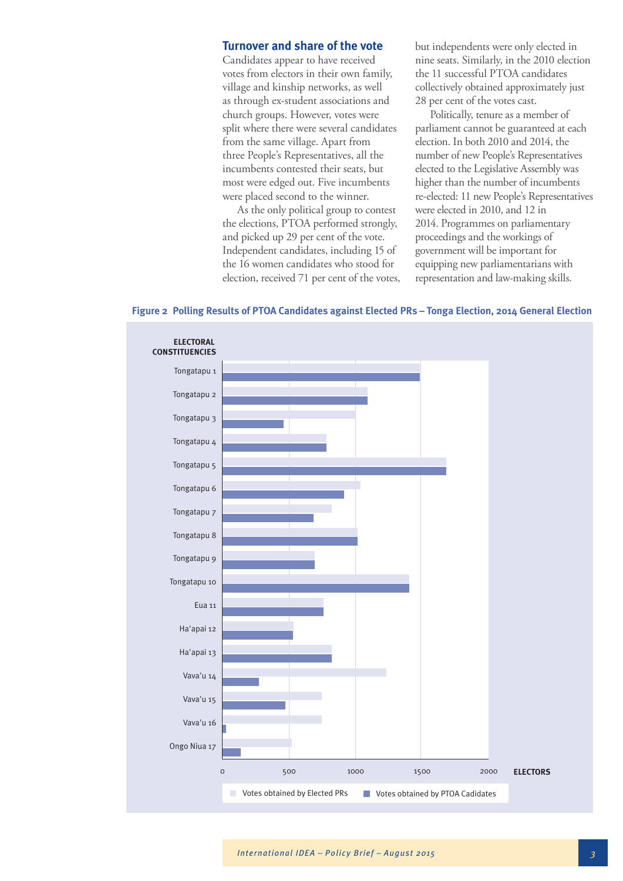#### **Turnover and share of the vote**

Candidates appear to have received votes from electors in their own family, village and kinship networks, as well as through ex-student associations and church groups. However, votes were split where there were several candidates from the same village. Apart from three People's Representatives, all the incumbents contested their seats, but most were edged out. Five incumbents were placed second to the winner.

As the only political group to contest the elections, PTOA performed strongly, and picked up 29 per cent of the vote. Independent candidates, including 15 of the 16 women candidates who stood for election, received 71 per cent of the votes, but independents were only elected in nine seats. Similarly, in the 2010 election the 11 successful PTOA candidates collectively obtained approximately just 28 per cent of the votes cast.

Politically, tenure as a member of parliament cannot be guaranteed at each election. In both 2010 and 2014, the number of new People's Representatives elected to the Legislative Assembly was higher than the number of incumbents re-elected: 11 new People's Representatives were elected in 2010, and 12 in 2014. Programmes on parliamentary proceedings and the workings of government will be important for equipping new parliamentarians with representation and law-making skills.



**Figure 2 Polling Results of PTOA Candidates against Elected PRs – Tonga Election, 2014 General Election**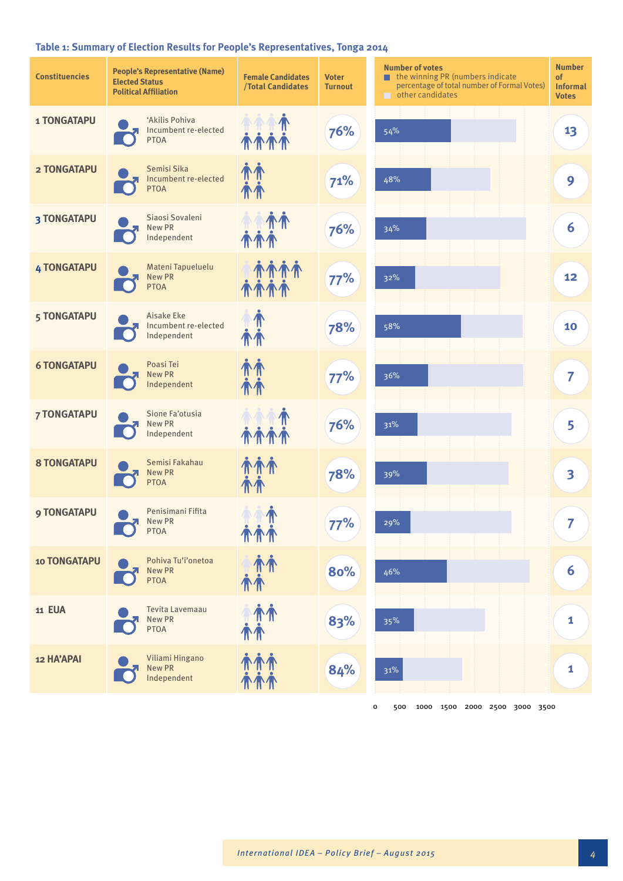## **Table 1: Summary of Election Results for People's Representatives, Tonga 2014**

| <b>Constituencies</b> | <b>People's Representative (Name)</b><br><b>Elected Status</b><br><b>Political Affiliation</b> | <b>Female Candidates</b><br><b>/Total Candidates</b> | <b>Voter</b><br><b>Turnout</b> | <b>Number of votes</b><br>$\blacksquare$ the winning PR (numbers indicate<br>percentage of total number of Formal Votes)<br>$\Box$ other candidates | <b>Number</b><br>of<br><b>Informal</b><br><b>Votes</b> |
|-----------------------|------------------------------------------------------------------------------------------------|------------------------------------------------------|--------------------------------|-----------------------------------------------------------------------------------------------------------------------------------------------------|--------------------------------------------------------|
| <b>1 TONGATAPU</b>    | 'Akilis Pohiva<br>Incumbent re-elected<br><b>PTOA</b>                                          | <b><i>MMM</i></b>                                    | 76%                            | 54%                                                                                                                                                 | 13                                                     |
| <b>2 TONGATAPU</b>    | Semisi Sika<br>Incumbent re-elected<br><b>PTOA</b>                                             | 介介                                                   | 71%                            | 48%                                                                                                                                                 | 9                                                      |
| <b>3 TONGATAPU</b>    | Siaosi Sovaleni<br>New PR<br>Independent                                                       |                                                      | 76%                            | 34%                                                                                                                                                 | 6                                                      |
| <b>4 TONGATAPU</b>    | Mateni Tapueluelu<br><b>New PR</b><br><b>PTOA</b>                                              | <b><i>MAN</i></b><br><b>TTTT</b>                     | 77%                            | 32%                                                                                                                                                 | 12                                                     |
| 5 TONGATAPU           | Aisake Eke<br>Incumbent re-elected<br>Independent                                              |                                                      | 78%                            | 58%                                                                                                                                                 | 10                                                     |
| <b>6 TONGATAPU</b>    | Poasi Tei<br>New PR<br>Independent                                                             | <b>TH</b>                                            | 77%                            | 36%                                                                                                                                                 | 7                                                      |
| <b>7 TONGATAPU</b>    | Sione Fa'otusia<br>New PR<br>Independent                                                       |                                                      | 76%                            | 31%                                                                                                                                                 | 5                                                      |
| <b>8 TONGATAPU</b>    | Semisi Fakahau<br><b>New PR</b><br><b>PTOA</b>                                                 |                                                      | 78%                            | 39%                                                                                                                                                 | $\overline{\mathbf{3}}$                                |
| <b>9 TONGATAPU</b>    | Penisimani Fifita<br>New PR<br><b>PTOA</b>                                                     | $\textcolor{red}{\P}$<br>亦亦亦                         | 77%                            | 29%                                                                                                                                                 | 7                                                      |
| <b>10 TONGATAPU</b>   | Pohiva Tu'i'onetoa<br>New PR<br><b>PTOA</b>                                                    | 亦亦<br>介介                                             | 80%                            | 46%                                                                                                                                                 | 6                                                      |
| <b>11 EUA</b>         | Tevita Lavemaau<br>New PR<br><b>PTOA</b>                                                       | 麻布<br>仆仆                                             | 83%                            | 35%                                                                                                                                                 | 1                                                      |
| 12 HA'APAI            | Viliami Hingano<br>New PR<br>Independent                                                       | 亦亦亦                                                  | 84%                            | 31%                                                                                                                                                 | 1                                                      |
|                       |                                                                                                |                                                      |                                | 500 1000 1500 2000 2500 3000 3500<br>0                                                                                                              |                                                        |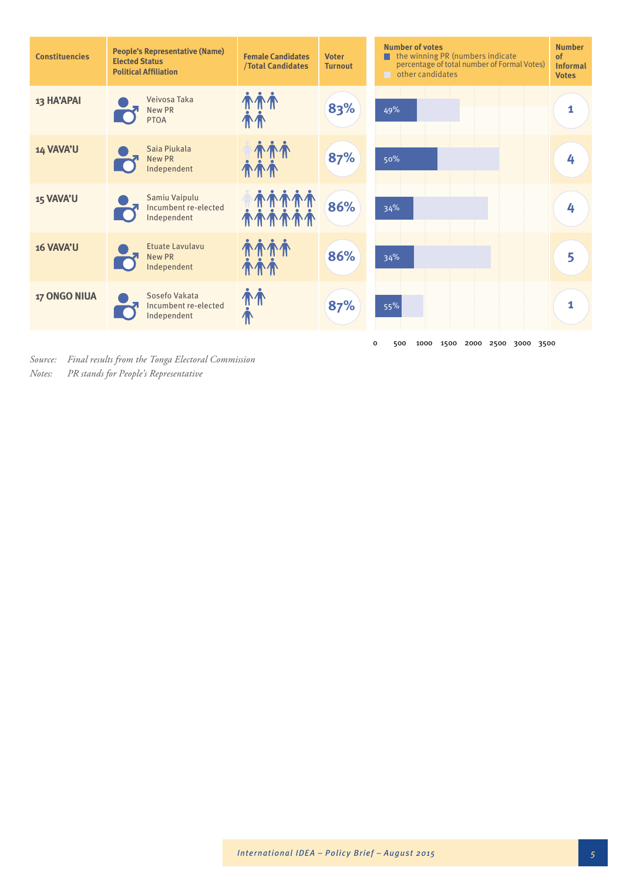| <b>Constituencies</b> | <b>People's Representative (Name)</b><br><b>Elected Status</b><br><b>Political Affiliation</b> | <b>Female Candidates</b><br><b>/Total Candidates</b> | <b>Voter</b><br><b>Turnout</b> | <b>Number of votes</b><br>the winning PR (numbers indicate<br>of<br>percentage of total number of Formal Votes)<br>$\Box$ other candidates<br><b>Votes</b> | <b>Number</b><br><b>Informal</b> |
|-----------------------|------------------------------------------------------------------------------------------------|------------------------------------------------------|--------------------------------|------------------------------------------------------------------------------------------------------------------------------------------------------------|----------------------------------|
| 13 HA'APAI            | Veivosa Taka<br>New PR<br><b>PTOA</b>                                                          | TTT                                                  | 83%                            | 49%                                                                                                                                                        | 1                                |
| 14 VAVA'U             | Saia Piukala<br><b>New PR</b><br>Independent                                                   |                                                      | 87%                            | 50%                                                                                                                                                        | 4                                |
| 15 VAVA'U             | Samiu Vaipulu<br>Incumbent re-elected<br>Independent                                           |                                                      | 86%                            | 34%                                                                                                                                                        | 4                                |
| 16 VAVA'U             | <b>Etuate Lavulavu</b><br><b>New PR</b><br>Independent                                         |                                                      | 86%                            | 34%                                                                                                                                                        | 5                                |
| <b>17 ONGO NIUA</b>   | Sosefo Vakata<br>Incumbent re-elected<br>Independent                                           | 'N`'N                                                | 87%                            | 55%                                                                                                                                                        | 1                                |
|                       |                                                                                                |                                                      |                                | 0<br>500<br>1000 1500 2000 2500 3000 3500                                                                                                                  |                                  |

*Source: Final results from the Tonga Electoral Commission Notes: PR stands for People's Representative*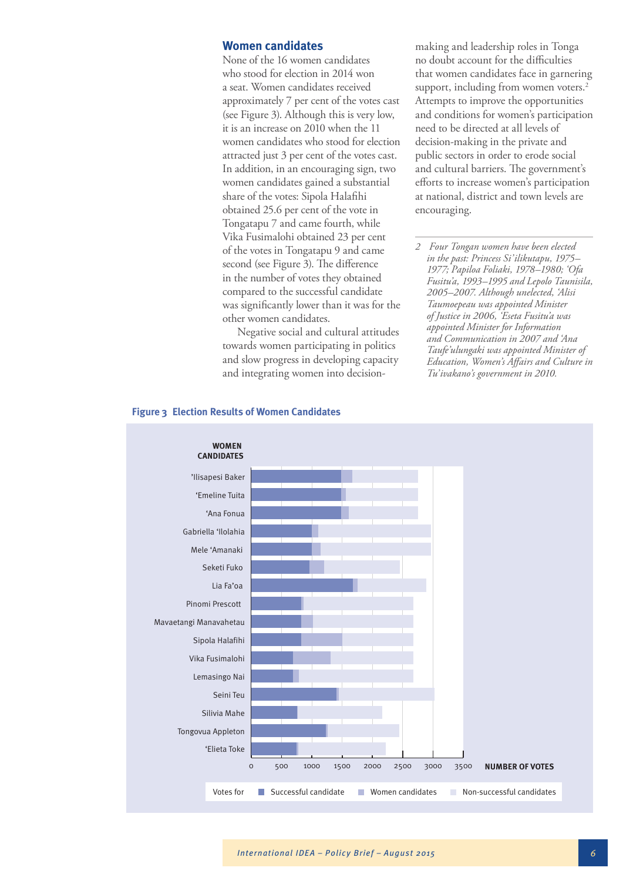#### **Women candidates**

None of the 16 women candidates who stood for election in 2014 won a seat. Women candidates received approximately 7 per cent of the votes cast (see Figure 3). Although this is very low, it is an increase on 2010 when the 11 women candidates who stood for election attracted just 3 per cent of the votes cast. In addition, in an encouraging sign, two women candidates gained a substantial share of the votes: Sipola Halafihi obtained 25.6 per cent of the vote in Tongatapu 7 and came fourth, while Vika Fusimalohi obtained 23 per cent of the votes in Tongatapu 9 and came second (see Figure 3). The difference in the number of votes they obtained compared to the successful candidate was significantly lower than it was for the other women candidates.

Negative social and cultural attitudes towards women participating in politics and slow progress in developing capacity and integrating women into decisionmaking and leadership roles in Tonga no doubt account for the difficulties that women candidates face in garnering support, including from women voters.<sup>2</sup> Attempts to improve the opportunities and conditions for women's participation need to be directed at all levels of decision-making in the private and public sectors in order to erode social and cultural barriers. The government's efforts to increase women's participation at national, district and town levels are encouraging.

*2 Four Tongan women have been elected in the past: Princess Si'ilikutapu, 1975– 1977; Papiloa Foliaki, 1978–1980; 'Ofa Fusitu'a, 1993–1995 and Lepolo Taunisila, 2005–2007. Although unelected, 'Alisi Taumoepeau was appointed Minister of Justice in 2006, 'Eseta Fusitu'a was appointed Minister for Information and Communication in 2007 and 'Ana Taufe'ulungaki was appointed Minister of Education, Women's Affairs and Culture in Tu'ivakano's government in 2010.*



#### **Figure 3 Election Results of Women Candidates**